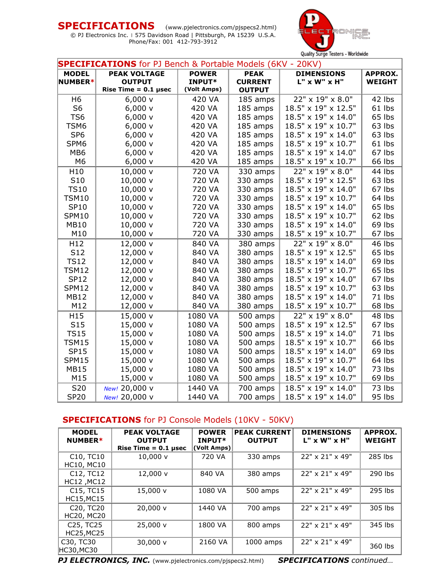**SPECIFICATIONS** (www.pjelectronics.com/pjspecs2.html) © PJ Electronics Inc. | 575 Davidson Road | Pittsburgh, PA 15239 U.S.A. Phone/Fax: 001 412-793-3912



| <b>SPECIFICATIONS</b> for PJ Bench & Portable Models (6KV - 20KV) |                        |                             |                |                     |                |  |
|-------------------------------------------------------------------|------------------------|-----------------------------|----------------|---------------------|----------------|--|
| <b>PEAK VOLTAGE</b><br><b>MODEL</b>                               |                        | <b>POWER</b><br><b>PEAK</b> |                | <b>DIMENSIONS</b>   | <b>APPROX.</b> |  |
| NUMBER*                                                           | <b>OUTPUT</b>          | INPUT*                      | <b>CURRENT</b> | $L''$ x W" x H"     | <b>WEIGHT</b>  |  |
|                                                                   | Rise Time = $0.1$ µsec | (Volt Amps)                 | <b>OUTPUT</b>  |                     |                |  |
| H6                                                                | 6,000v                 | 420 VA                      | 185 amps       | 22" x 19" x 8.0"    | 42 lbs         |  |
| S <sub>6</sub>                                                    | 6,000v                 | 420 VA                      | 185 amps       | 18.5" x 19" x 12.5" | 61 lbs         |  |
| TS <sub>6</sub>                                                   | 6,000v                 | 420 VA                      | 185 amps       | 18.5" x 19" x 14.0" | 65 lbs         |  |
| TSM6                                                              | 6,000v                 | 420 VA                      | 185 amps       | 18.5" x 19" x 10.7" | 63 lbs         |  |
| SP <sub>6</sub>                                                   | 6,000v                 | 420 VA                      | 185 amps       | 18.5" x 19" x 14.0" | 63 lbs         |  |
| SPM6                                                              | $6,000 \text{ v}$      | 420 VA                      | 185 amps       | 18.5" x 19" x 10.7" | 61 lbs         |  |
| MB <sub>6</sub>                                                   | $6,000 \text{ v}$      | 420 VA                      | 185 amps       | 18.5" x 19" x 14.0" | 67 lbs         |  |
| M <sub>6</sub>                                                    | 6,000v                 | 420 VA                      | 185 amps       | 18.5" x 19" x 10.7" | 66 lbs         |  |
| H10                                                               | 10,000 v               | 720 VA                      | 330 amps       | 22" x 19" x 8.0"    | 44 lbs         |  |
| S10                                                               | 10,000 v               | 720 VA                      | 330 amps       | 18.5" x 19" x 12.5" | 63 lbs         |  |
| <b>TS10</b>                                                       | 10,000 v               | 720 VA                      | 330 amps       | 18.5" x 19" x 14.0" | 67 lbs         |  |
| <b>TSM10</b>                                                      | 10,000 v               | 720 VA                      | 330 amps       | 18.5" x 19" x 10.7" | 64 lbs         |  |
| <b>SP10</b>                                                       | 10,000 v               | 720 VA                      | 330 amps       | 18.5" x 19" x 14.0" | 65 lbs         |  |
| <b>SPM10</b>                                                      | 10,000 v               | 720 VA                      | 330 amps       | 18.5" x 19" x 10.7" | 62 lbs         |  |
| <b>MB10</b>                                                       | 10,000 v               | 720 VA                      | 330 amps       | 18.5" x 19" x 14.0" | 69 lbs         |  |
| M10                                                               | 10,000 v               | 720 VA                      | 330 amps       | 18.5" x 19" x 10.7" | 67 lbs         |  |
| H <sub>12</sub>                                                   | 12,000 v               | 840 VA                      | 380 amps       | 22" x 19" x 8.0"    | 46 lbs         |  |
| S12                                                               | 12,000 v               | 840 VA                      | 380 amps       | 18.5" x 19" x 12.5" | 65 lbs         |  |
| <b>TS12</b>                                                       | 12,000 v               | 840 VA                      | 380 amps       | 18.5" x 19" x 14.0" | 69 lbs         |  |
| <b>TSM12</b>                                                      | 12,000 v               | 840 VA                      | 380 amps       | 18.5" x 19" x 10.7" | 65 lbs         |  |
| <b>SP12</b>                                                       | 12,000 v               | 840 VA                      | 380 amps       | 18.5" x 19" x 14.0" | 67 lbs         |  |
| <b>SPM12</b>                                                      | 12,000 v               | 840 VA                      | 380 amps       | 18.5" x 19" x 10.7" | 63 lbs         |  |
| <b>MB12</b>                                                       | 12,000 v               | 840 VA                      | 380 amps       | 18.5" x 19" x 14.0" | 71 lbs         |  |
| M12                                                               | 12,000 v               | 840 VA                      | 380 amps       | 18.5" x 19" x 10.7" | 68 lbs         |  |
| H15                                                               | 15,000 v               | 1080 VA                     | 500 amps       | 22" x 19" x 8.0"    | 48 lbs         |  |
| S <sub>15</sub>                                                   | 15,000 v               | 1080 VA                     | 500 amps       | 18.5" x 19" x 12.5" | 67 lbs         |  |
| <b>TS15</b>                                                       | 15,000 v               | 1080 VA                     | 500 amps       | 18.5" x 19" x 14.0" | 71 lbs         |  |
| <b>TSM15</b>                                                      | 15,000 v               | 1080 VA                     | 500 amps       | 18.5" x 19" x 10.7" | 66 lbs         |  |
| <b>SP15</b>                                                       | 15,000 v               | 1080 VA                     | 500 amps       | 18.5" x 19" x 14.0" | 69 lbs         |  |
| <b>SPM15</b>                                                      | 15,000 v               | 1080 VA                     | 500 amps       | 18.5" x 19" x 10.7" | 64 lbs         |  |
| <b>MB15</b>                                                       | 15,000 v               | 1080 VA                     | 500 amps       | 18.5" x 19" x 14.0" | 73 lbs         |  |
| M15                                                               | 15,000 v               | 1080 VA                     | 500 amps       | 18.5" x 19" x 10.7" | 69 lbs         |  |
| S20                                                               | New! 20,000 v          | 1440 VA                     | 700 amps       | 18.5" x 19" x 14.0" | 73 lbs         |  |
| <b>SP20</b>                                                       | New! 20,000 v          | 1440 VA                     | 700 amps       | 18.5" x 19" x 14.0" | 95 lbs         |  |

# **SPECIFICATIONS** for PJ Console Models (10KV - 50KV)

| <b>MODEL</b><br>NUMBER*                                            | <b>PEAK VOLTAGE</b><br><b>OUTPUT</b><br>Rise Time $= 0.1$ usec | <b>POWER</b><br>INPUT*<br>(Volt Amps) | <b>PEAK CURRENT</b><br><b>OUTPUT</b> | <b>DIMENSIONS</b><br>$L''$ x W" x H" | <b>APPROX.</b><br><b>WEIGHT</b> |
|--------------------------------------------------------------------|----------------------------------------------------------------|---------------------------------------|--------------------------------------|--------------------------------------|---------------------------------|
| C <sub>10</sub> , TC <sub>10</sub><br><b>HC10, MC10</b>            | $10,000 \text{ v}$                                             | 720 VA                                | 330 amps                             | 22" x 21" x 49"                      | 285 lbs                         |
| C <sub>12</sub> , TC <sub>12</sub><br>HC12, MC12                   | 12,000 v                                                       | 840 VA                                | 380 amps                             | 22" x 21" x 49"                      | 290 lbs                         |
| C <sub>15</sub> , TC <sub>15</sub><br><b>HC15, MC15</b>            | 15,000 v                                                       | 1080 VA                               | 500 amps                             | 22" x 21" x 49"                      | 295 lbs                         |
| C <sub>20</sub> , T <sub>C<sub>20</sub></sub><br><b>HC20, MC20</b> | 20.000v                                                        | 1440 VA                               | 700 amps                             | 22" x 21" x 49"                      | 305 lbs                         |
| C <sub>25</sub> , TC <sub>25</sub><br><b>HC25, MC25</b>            | 25,000 v                                                       | 1800 VA                               | 800 amps                             | 22" x 21" x 49"                      | 345 lbs                         |
| C30, TC30<br>HC30,MC30                                             | $30,000 \text{ v}$                                             | 2160 VA                               | 1000 amps                            | 22" x 21" x 49"                      | 360 lbs                         |

*PJ ELECTRONICS, INC.* (www.pjelectronics.com/pjspecs2.html) *SPECIFICATIONS continued…*